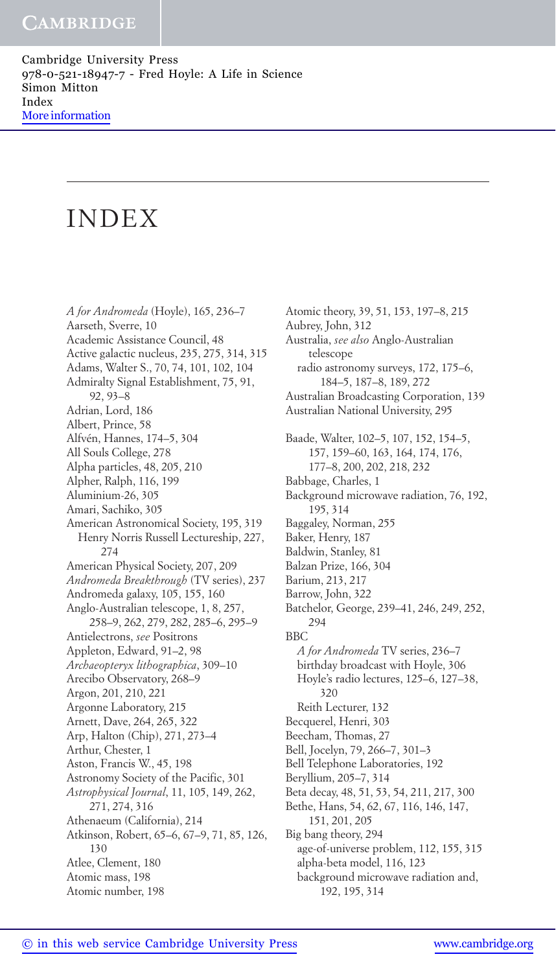# INDEX

*A for Andromeda* (Hoyle), 165, 236–7 Aarseth, Sverre, 10 Academic Assistance Council, 48 Active galactic nucleus, 235, 275, 314, 315 Adams, Walter S., 70, 74, 101, 102, 104 Admiralty Signal Establishment, 75, 91, 92, 93–8 Adrian, Lord, 186 Albert, Prince, 58 Alfvén, Hannes, 174–5, 304 All Souls College, 278 Alpha particles, 48, 205, 210 Alpher, Ralph, 116, 199 Aluminium-26, 305 Amari, Sachiko, 305 American Astronomical Society, 195, 319 Henry Norris Russell Lectureship, 227, 274 American Physical Society, 207, 209 *Andromeda Breakthrough* (TV series), 237 Andromeda galaxy, 105, 155, 160 Anglo-Australian telescope, 1, 8, 257, 258–9, 262, 279, 282, 285–6, 295–9 Antielectrons, *see* Positrons Appleton, Edward, 91–2, 98 *Archaeopteryx lithographica*, 309–10 Arecibo Observatory, 268–9 Argon, 201, 210, 221 Argonne Laboratory, 215 Arnett, Dave, 264, 265, 322 Arp, Halton (Chip), 271, 273–4 Arthur, Chester, 1 Aston, Francis W., 45, 198 Astronomy Society of the Pacific, 301 *Astrophysical Journal*, 11, 105, 149, 262, 271, 274, 316 Athenaeum (California), 214 Atkinson, Robert, 65–6, 67–9, 71, 85, 126, 130 Atlee, Clement, 180 Atomic mass, 198 Atomic number, 198

Atomic theory, 39, 51, 153, 197–8, 215 Aubrey, John, 312 Australia, *see also* Anglo-Australian telescope radio astronomy surveys, 172, 175–6, 184–5, 187–8, 189, 272 Australian Broadcasting Corporation, 139 Australian National University, 295 Baade, Walter, 102–5, 107, 152, 154–5, 157, 159–60, 163, 164, 174, 176, 177–8, 200, 202, 218, 232 Babbage, Charles, 1 Background microwave radiation, 76, 192, 195, 314 Baggaley, Norman, 255 Baker, Henry, 187 Baldwin, Stanley, 81 Balzan Prize, 166, 304 Barium, 213, 217 Barrow, John, 322 Batchelor, George, 239–41, 246, 249, 252, 294 BBC *A for Andromeda* TV series, 236–7 birthday broadcast with Hoyle, 306 Hoyle's radio lectures, 125–6, 127–38, 320 Reith Lecturer, 132 Becquerel, Henri, 303 Beecham, Thomas, 27 Bell, Jocelyn, 79, 266–7, 301–3 Bell Telephone Laboratories, 192 Beryllium, 205–7, 314 Beta decay, 48, 51, 53, 54, 211, 217, 300 Bethe, Hans, 54, 62, 67, 116, 146, 147, 151, 201, 205 Big bang theory, 294 age-of-universe problem, 112, 155, 315 alpha-beta model, 116, 123 background microwave radiation and,

192, 195, 314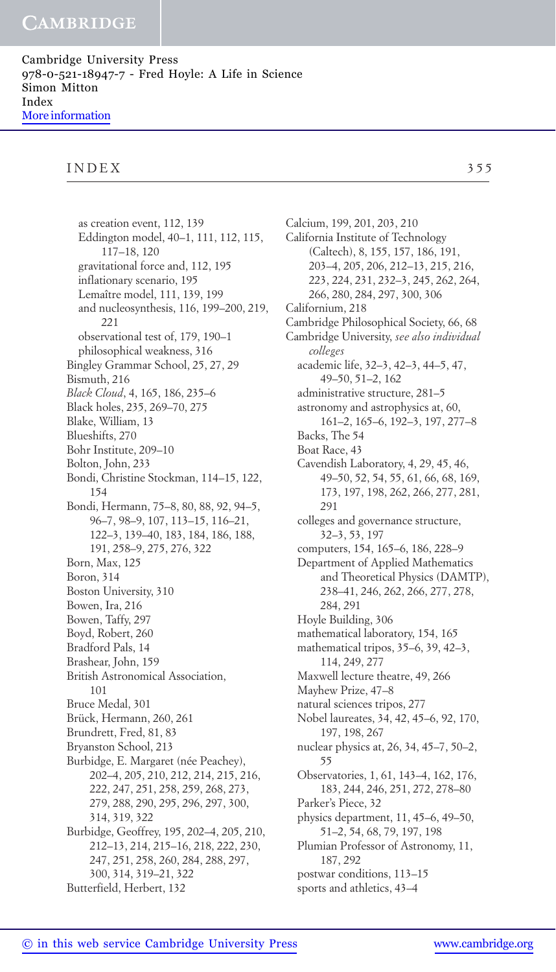## INDEX 355

as creation event, 112, 139 Eddington model, 40–1, 111, 112, 115, 117–18, 120 gravitational force and, 112, 195 inflationary scenario, 195 Lemaître model, 111, 139, 199 and nucleosynthesis, 116, 199–200, 219, 221 observational test of, 179, 190–1 philosophical weakness, 316 Bingley Grammar School, 25, 27, 29 Bismuth, 216 *Black Cloud*, 4, 165, 186, 235–6 Black holes, 235, 269–70, 275 Blake, William, 13 Blueshifts, 270 Bohr Institute, 209–10 Bolton, John, 233 Bondi, Christine Stockman, 114–15, 122, 154 Bondi, Hermann, 75–8, 80, 88, 92, 94–5, 96–7, 98–9, 107, 113–15, 116–21, 122–3, 139–40, 183, 184, 186, 188, 191, 258–9, 275, 276, 322 Born, Max, 125 Boron, 314 Boston University, 310 Bowen, Ira, 216 Bowen, Taffy, 297 Boyd, Robert, 260 Bradford Pals, 14 Brashear, John, 159 British Astronomical Association, 101 Bruce Medal, 301 Brück, Hermann, 260, 261 Brundrett, Fred, 81, 83 Bryanston School, 213 Burbidge, E. Margaret (née Peachey), 202–4, 205, 210, 212, 214, 215, 216, 222, 247, 251, 258, 259, 268, 273, 279, 288, 290, 295, 296, 297, 300, 314, 319, 322 Burbidge, Geoffrey, 195, 202–4, 205, 210, 212–13, 214, 215–16, 218, 222, 230, 247, 251, 258, 260, 284, 288, 297, 300, 314, 319–21, 322 Butterfield, Herbert, 132

Calcium, 199, 201, 203, 210 California Institute of Technology (Caltech), 8, 155, 157, 186, 191, 203–4, 205, 206, 212–13, 215, 216, 223, 224, 231, 232–3, 245, 262, 264, 266, 280, 284, 297, 300, 306 Californium, 218 Cambridge Philosophical Society, 66, 68 Cambridge University, *see also individual colleges* academic life, 32–3, 42–3, 44–5, 47, 49–50, 51–2, 162 administrative structure, 281–5 astronomy and astrophysics at, 60, 161–2, 165–6, 192–3, 197, 277–8 Backs, The 54 Boat Race, 43 Cavendish Laboratory, 4, 29, 45, 46, 49–50, 52, 54, 55, 61, 66, 68, 169, 173, 197, 198, 262, 266, 277, 281, 291 colleges and governance structure, 32–3, 53, 197 computers, 154, 165–6, 186, 228–9 Department of Applied Mathematics and Theoretical Physics (DAMTP), 238–41, 246, 262, 266, 277, 278, 284, 291 Hoyle Building, 306 mathematical laboratory, 154, 165 mathematical tripos, 35–6, 39, 42–3, 114, 249, 277 Maxwell lecture theatre, 49, 266 Mayhew Prize, 47–8 natural sciences tripos, 277 Nobel laureates, 34, 42, 45–6, 92, 170, 197, 198, 267 nuclear physics at, 26, 34, 45–7, 50–2, 55 Observatories, 1, 61, 143–4, 162, 176, 183, 244, 246, 251, 272, 278–80 Parker's Piece, 32 physics department, 11, 45–6, 49–50, 51–2, 54, 68, 79, 197, 198 Plumian Professor of Astronomy, 11, 187, 292 postwar conditions, 113–15 sports and athletics, 43–4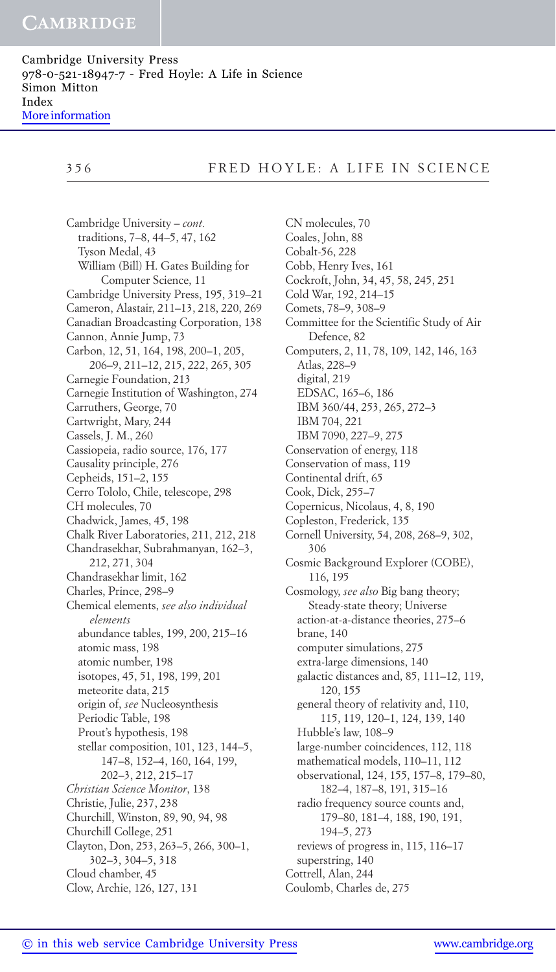Cambridge University Press 978-0-521-18947-7 - Fred Hoyle: A Life in Science Simon Mitton Index [More information](http://www.cambridge.org/9780521189477)

# 356 FRED HOYLE: A LIFE IN SCIENCE

Cambridge University – *cont.* traditions, 7–8, 44–5, 47, 162 Tyson Medal, 43 William (Bill) H. Gates Building for Computer Science, 11 Cambridge University Press, 195, 319–21 Cameron, Alastair, 211–13, 218, 220, 269 Canadian Broadcasting Corporation, 138 Cannon, Annie Jump, 73 Carbon, 12, 51, 164, 198, 200–1, 205, 206–9, 211–12, 215, 222, 265, 305 Carnegie Foundation, 213 Carnegie Institution of Washington, 274 Carruthers, George, 70 Cartwright, Mary, 244 Cassels, J. M., 260 Cassiopeia, radio source, 176, 177 Causality principle, 276 Cepheids, 151–2, 155 Cerro Tololo, Chile, telescope, 298 CH molecules, 70 Chadwick, James, 45, 198 Chalk River Laboratories, 211, 212, 218 Chandrasekhar, Subrahmanyan, 162–3, 212, 271, 304 Chandrasekhar limit, 162 Charles, Prince, 298–9 Chemical elements, *see also individual elements* abundance tables, 199, 200, 215–16 atomic mass, 198 atomic number, 198 isotopes, 45, 51, 198, 199, 201 meteorite data, 215 origin of, *see* Nucleosynthesis Periodic Table, 198 Prout's hypothesis, 198 stellar composition, 101, 123, 144–5, 147–8, 152–4, 160, 164, 199, 202–3, 212, 215–17 *Christian Science Monitor*, 138 Christie, Julie, 237, 238 Churchill, Winston, 89, 90, 94, 98 Churchill College, 251 Clayton, Don, 253, 263–5, 266, 300–1, 302–3, 304–5, 318 Cloud chamber, 45 Clow, Archie, 126, 127, 131

CN molecules, 70 Coales, John, 88 Cobalt-56, 228 Cobb, Henry Ives, 161 Cockroft, John, 34, 45, 58, 245, 251 Cold War, 192, 214–15 Comets, 78–9, 308–9 Committee for the Scientific Study of Air Defence, 82 Computers, 2, 11, 78, 109, 142, 146, 163 Atlas, 228–9 digital, 219 EDSAC, 165–6, 186 IBM 360/44, 253, 265, 272–3 IBM 704, 221 IBM 7090, 227–9, 275 Conservation of energy, 118 Conservation of mass, 119 Continental drift, 65 Cook, Dick, 255–7 Copernicus, Nicolaus, 4, 8, 190 Copleston, Frederick, 135 Cornell University, 54, 208, 268–9, 302, 306 Cosmic Background Explorer (COBE), 116, 195 Cosmology, *see also* Big bang theory; Steady-state theory; Universe action-at-a-distance theories, 275–6 brane, 140 computer simulations, 275 extra-large dimensions, 140 galactic distances and, 85, 111–12, 119, 120, 155 general theory of relativity and, 110, 115, 119, 120–1, 124, 139, 140 Hubble's law, 108–9 large-number coincidences, 112, 118 mathematical models, 110–11, 112 observational, 124, 155, 157–8, 179–80, 182–4, 187–8, 191, 315–16 radio frequency source counts and, 179–80, 181–4, 188, 190, 191, 194–5, 273 reviews of progress in, 115, 116–17 superstring, 140 Cottrell, Alan, 244 Coulomb, Charles de, 275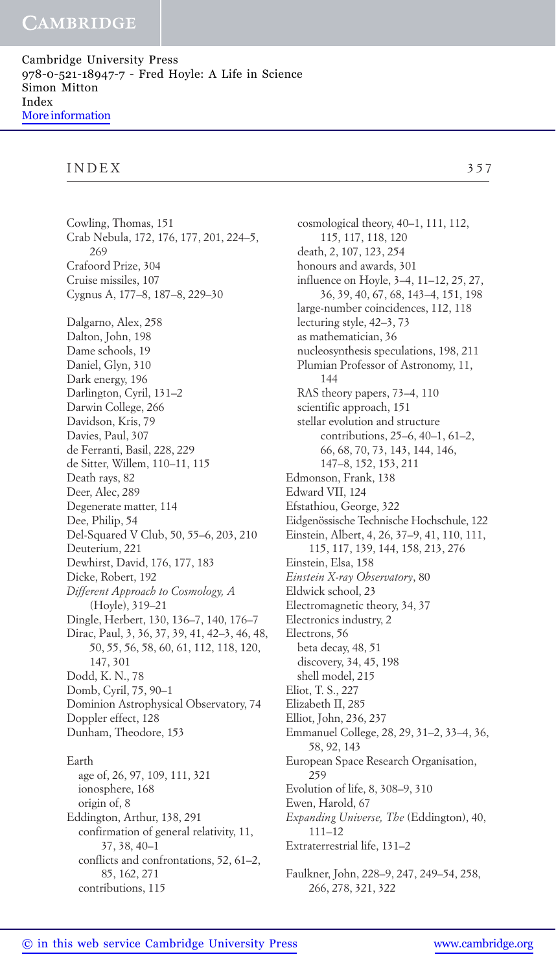#### INDEX 357

Cowling, Thomas, 151 Crab Nebula, 172, 176, 177, 201, 224–5, 269 Crafoord Prize, 304 Cruise missiles, 107 Cygnus A, 177–8, 187–8, 229–30 Dalgarno, Alex, 258 Dalton, John, 198 Dame schools, 19 Daniel, Glyn, 310 Dark energy, 196 Darlington, Cyril, 131–2 Darwin College, 266 Davidson, Kris, 79 Davies, Paul, 307 de Ferranti, Basil, 228, 229 de Sitter, Willem, 110–11, 115 Death rays, 82 Deer, Alec, 289 Degenerate matter, 114 Dee, Philip, 54 Del-Squared V Club, 50, 55–6, 203, 210 Deuterium, 221 Dewhirst, David, 176, 177, 183 Dicke, Robert, 192 *Different Approach to Cosmology, A* (Hoyle), 319–21 Dingle, Herbert, 130, 136–7, 140, 176–7 Dirac, Paul, 3, 36, 37, 39, 41, 42–3, 46, 48, 50, 55, 56, 58, 60, 61, 112, 118, 120, 147, 301 Dodd, K. N., 78 Domb, Cyril, 75, 90–1 Dominion Astrophysical Observatory, 74 Doppler effect, 128 Dunham, Theodore, 153 Earth age of, 26, 97, 109, 111, 321 ionosphere, 168 origin of, 8 Eddington, Arthur, 138, 291 confirmation of general relativity, 11, 37, 38, 40–1 conflicts and confrontations, 52, 61–2, 85, 162, 271 contributions, 115

cosmological theory, 40–1, 111, 112, 115, 117, 118, 120 death, 2, 107, 123, 254 honours and awards, 301 influence on Hoyle, 3–4, 11–12, 25, 27, 36, 39, 40, 67, 68, 143–4, 151, 198 large-number coincidences, 112, 118 lecturing style, 42–3, 73 as mathematician, 36 nucleosynthesis speculations, 198, 211 Plumian Professor of Astronomy, 11, 144 RAS theory papers, 73–4, 110 scientific approach, 151 stellar evolution and structure contributions, 25–6, 40–1, 61–2, 66, 68, 70, 73, 143, 144, 146, 147–8, 152, 153, 211 Edmonson, Frank, 138 Edward VII, 124 Efstathiou, George, 322 Eidgenössische Technische Hochschule, 122 Einstein, Albert, 4, 26, 37–9, 41, 110, 111, 115, 117, 139, 144, 158, 213, 276 Einstein, Elsa, 158 *Einstein X-ray Observatory*, 80 Eldwick school, 23 Electromagnetic theory, 34, 37 Electronics industry, 2 Electrons, 56 beta decay, 48, 51 discovery, 34, 45, 198 shell model, 215 Eliot, T. S., 227 Elizabeth II, 285 Elliot, John, 236, 237 Emmanuel College, 28, 29, 31–2, 33–4, 36, 58, 92, 143 European Space Research Organisation, 259 Evolution of life, 8, 308–9, 310 Ewen, Harold, 67 *Expanding Universe, The* (Eddington), 40, 111–12 Extraterrestrial life, 131–2

Faulkner, John, 228–9, 247, 249–54, 258, 266, 278, 321, 322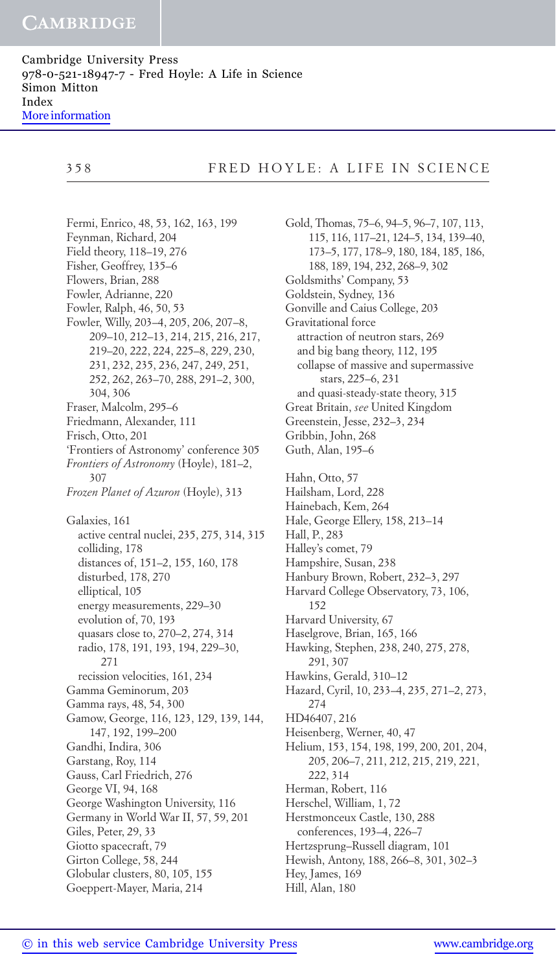Cambridge University Press 978-0-521-18947-7 - Fred Hoyle: A Life in Science Simon Mitton Index [More information](http://www.cambridge.org/9780521189477)

Fermi, Enrico, 48, 53, 162, 163, 199 Feynman, Richard, 204 Field theory, 118–19, 276 Fisher, Geoffrey, 135–6 Flowers, Brian, 288 Fowler, Adrianne, 220 Fowler, Ralph, 46, 50, 53 Fowler, Willy, 203–4, 205, 206, 207–8, 209–10, 212–13, 214, 215, 216, 217, 219–20, 222, 224, 225–8, 229, 230, 231, 232, 235, 236, 247, 249, 251, 252, 262, 263–70, 288, 291–2, 300, 304, 306 Fraser, Malcolm, 295–6 Friedmann, Alexander, 111 Frisch, Otto, 201 'Frontiers of Astronomy' conference 305 *Frontiers of Astronomy* (Hoyle), 181–2, 307 *Frozen Planet of Azuron* (Hoyle), 313 Galaxies, 161 active central nuclei, 235, 275, 314, 315 colliding, 178 distances of, 151–2, 155, 160, 178 disturbed, 178, 270 elliptical, 105 energy measurements, 229–30 evolution of, 70, 193 quasars close to, 270–2, 274, 314 radio, 178, 191, 193, 194, 229–30, 271 recission velocities, 161, 234 Gamma Geminorum, 203 Gamma rays, 48, 54, 300 Gamow, George, 116, 123, 129, 139, 144, 147, 192, 199–200 Gandhi, Indira, 306 Garstang, Roy, 114 Gauss, Carl Friedrich, 276 George VI, 94, 168 George Washington University, 116 Germany in World War II, 57, 59, 201 Giles, Peter, 29, 33 Giotto spacecraft, 79 Girton College, 58, 244 Globular clusters, 80, 105, 155 Goeppert-Mayer, Maria, 214

Gold, Thomas, 75–6, 94–5, 96–7, 107, 113, 115, 116, 117–21, 124–5, 134, 139–40, 173–5, 177, 178–9, 180, 184, 185, 186, 188, 189, 194, 232, 268–9, 302 Goldsmiths' Company, 53 Goldstein, Sydney, 136 Gonville and Caius College, 203 Gravitational force attraction of neutron stars, 269 and big bang theory, 112, 195 collapse of massive and supermassive stars, 225–6, 231 and quasi-steady-state theory, 315 Great Britain, *see* United Kingdom Greenstein, Jesse, 232–3, 234 Gribbin, John, 268 Guth, Alan, 195–6 Hahn, Otto, 57 Hailsham, Lord, 228 Hainebach, Kem, 264 Hale, George Ellery, 158, 213–14 Hall, P., 283 Halley's comet, 79 Hampshire, Susan, 238 Hanbury Brown, Robert, 232–3, 297 Harvard College Observatory, 73, 106, 152 Harvard University, 67 Haselgrove, Brian, 165, 166 Hawking, Stephen, 238, 240, 275, 278, 291, 307 Hawkins, Gerald, 310–12 Hazard, Cyril, 10, 233–4, 235, 271–2, 273, 274 HD46407, 216 Heisenberg, Werner, 40, 47 Helium, 153, 154, 198, 199, 200, 201, 204, 205, 206–7, 211, 212, 215, 219, 221, 222, 314 Herman, Robert, 116 Herschel, William, 1, 72 Herstmonceux Castle, 130, 288 conferences, 193–4, 226–7 Hertzsprung–Russell diagram, 101 Hewish, Antony, 188, 266–8, 301, 302–3 Hey, James, 169 Hill, Alan, 180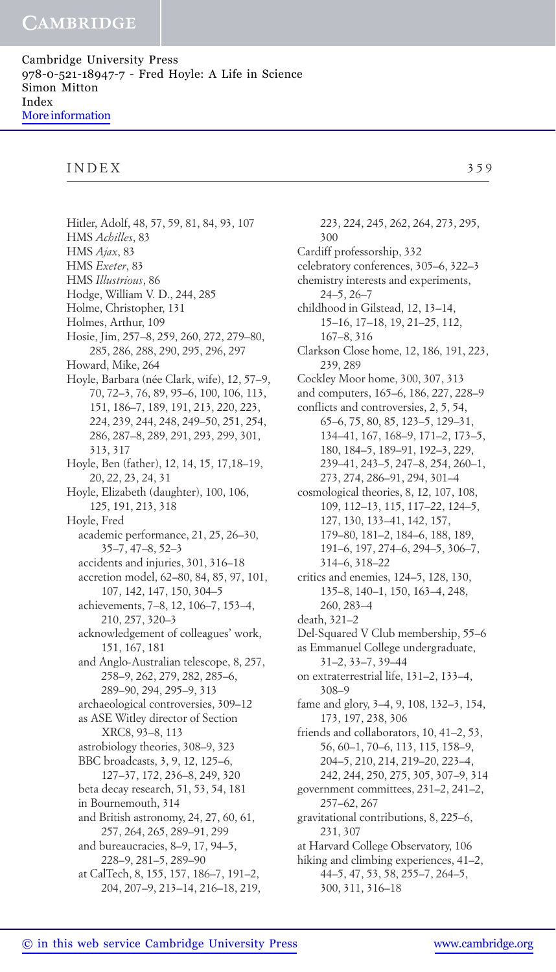#### INDEX 359

Hitler, Adolf, 48, 57, 59, 81, 84, 93, 107 HMS *Achilles*, 83 HMS *Ajax*, 83 HMS *Exeter*, 83 HMS *Illustrious*, 86 Hodge, William V. D., 244, 285 Holme, Christopher, 131 Holmes, Arthur, 109 Hosie, Jim, 257–8, 259, 260, 272, 279–80, 285, 286, 288, 290, 295, 296, 297 Howard, Mike, 264 Hoyle, Barbara (née Clark, wife), 12, 57–9, 70, 72–3, 76, 89, 95–6, 100, 106, 113, 151, 186–7, 189, 191, 213, 220, 223, 224, 239, 244, 248, 249–50, 251, 254, 286, 287–8, 289, 291, 293, 299, 301, 313, 317 Hoyle, Ben (father), 12, 14, 15, 17,18–19, 20, 22, 23, 24, 31 Hoyle, Elizabeth (daughter), 100, 106, 125, 191, 213, 318 Hoyle, Fred academic performance, 21, 25, 26–30, 35–7, 47–8, 52–3 accidents and injuries, 301, 316–18 accretion model, 62–80, 84, 85, 97, 101, 107, 142, 147, 150, 304–5 achievements, 7–8, 12, 106–7, 153–4, 210, 257, 320–3 acknowledgement of colleagues' work, 151, 167, 181 and Anglo-Australian telescope, 8, 257, 258–9, 262, 279, 282, 285–6, 289–90, 294, 295–9, 313 archaeological controversies, 309–12 as ASE Witley director of Section XRC8, 93–8, 113 astrobiology theories, 308–9, 323 BBC broadcasts, 3, 9, 12, 125–6, 127–37, 172, 236–8, 249, 320 beta decay research, 51, 53, 54, 181 in Bournemouth, 314 and British astronomy, 24, 27, 60, 61, 257, 264, 265, 289–91, 299 and bureaucracies, 8–9, 17, 94–5, 228–9, 281–5, 289–90 at CalTech, 8, 155, 157, 186–7, 191–2, 204, 207–9, 213–14, 216–18, 219,

300 Cardiff professorship, 332 celebratory conferences, 305–6, 322–3 chemistry interests and experiments, 24–5, 26–7 childhood in Gilstead, 12, 13–14, 15–16, 17–18, 19, 21–25, 112, 167–8, 316 Clarkson Close home, 12, 186, 191, 223, 239, 289 Cockley Moor home, 300, 307, 313 and computers, 165–6, 186, 227, 228–9 conflicts and controversies, 2, 5, 54, 65–6, 75, 80, 85, 123–5, 129–31, 134–41, 167, 168–9, 171–2, 173–5, 180, 184–5, 189–91, 192–3, 229, 239–41, 243–5, 247–8, 254, 260–1, 273, 274, 286–91, 294, 301–4 cosmological theories, 8, 12, 107, 108, 109, 112–13, 115, 117–22, 124–5, 127, 130, 133–41, 142, 157, 179–80, 181–2, 184–6, 188, 189, 191–6, 197, 274–6, 294–5, 306–7, 314–6, 318–22 critics and enemies, 124–5, 128, 130, 135–8, 140–1, 150, 163–4, 248, 260, 283–4 death, 321–2 Del-Squared V Club membership, 55–6 as Emmanuel College undergraduate, 31–2, 33–7, 39–44 on extraterrestrial life, 131–2, 133–4, 308–9 fame and glory, 3–4, 9, 108, 132–3, 154, 173, 197, 238, 306 friends and collaborators, 10, 41–2, 53, 56, 60–1, 70–6, 113, 115, 158–9, 204–5, 210, 214, 219–20, 223–4, 242, 244, 250, 275, 305, 307–9, 314 government committees, 231–2, 241–2, 257–62, 267 gravitational contributions, 8, 225–6, 231, 307 at Harvard College Observatory, 106 hiking and climbing experiences, 41–2, 44–5, 47, 53, 58, 255–7, 264–5, 300, 311, 316–18

223, 224, 245, 262, 264, 273, 295,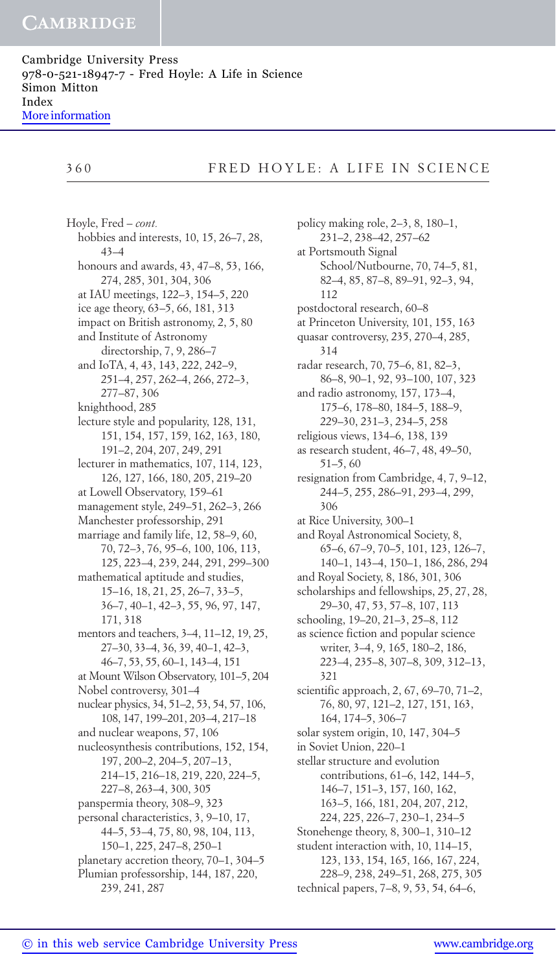# 360 FRED HOYLE: A LIFE IN SCIENCE

Hoyle, Fred – *cont.* hobbies and interests, 10, 15, 26–7, 28, 43–4 honours and awards, 43, 47–8, 53, 166, 274, 285, 301, 304, 306 at IAU meetings, 122–3, 154–5, 220 ice age theory, 63–5, 66, 181, 313 impact on British astronomy, 2, 5, 80 and Institute of Astronomy directorship, 7, 9, 286–7 and IoTA, 4, 43, 143, 222, 242–9, 251–4, 257, 262–4, 266, 272–3, 277–87, 306 knighthood, 285 lecture style and popularity, 128, 131, 151, 154, 157, 159, 162, 163, 180, 191–2, 204, 207, 249, 291 lecturer in mathematics, 107, 114, 123, 126, 127, 166, 180, 205, 219–20 at Lowell Observatory, 159–61 management style, 249–51, 262–3, 266 Manchester professorship, 291 marriage and family life, 12, 58–9, 60, 70, 72–3, 76, 95–6, 100, 106, 113, 125, 223–4, 239, 244, 291, 299–300 mathematical aptitude and studies, 15–16, 18, 21, 25, 26–7, 33–5, 36–7, 40–1, 42–3, 55, 96, 97, 147, 171, 318 mentors and teachers, 3–4, 11–12, 19, 25, 27–30, 33–4, 36, 39, 40–1, 42–3, 46–7, 53, 55, 60–1, 143–4, 151 at Mount Wilson Observatory, 101–5, 204 Nobel controversy, 301–4 nuclear physics, 34, 51–2, 53, 54, 57, 106, 108, 147, 199–201, 203–4, 217–18 and nuclear weapons, 57, 106 nucleosynthesis contributions, 152, 154, 197, 200–2, 204–5, 207–13, 214–15, 216–18, 219, 220, 224–5, 227–8, 263–4, 300, 305 panspermia theory, 308–9, 323 personal characteristics, 3, 9–10, 17, 44–5, 53–4, 75, 80, 98, 104, 113, 150–1, 225, 247–8, 250–1 planetary accretion theory, 70–1, 304–5 Plumian professorship, 144, 187, 220, 239, 241, 287

policy making role, 2–3, 8, 180–1, 231–2, 238–42, 257–62 at Portsmouth Signal School/Nutbourne, 70, 74–5, 81, 82–4, 85, 87–8, 89–91, 92–3, 94, 112 postdoctoral research, 60–8 at Princeton University, 101, 155, 163 quasar controversy, 235, 270–4, 285, 314 radar research, 70, 75–6, 81, 82–3, 86–8, 90–1, 92, 93–100, 107, 323 and radio astronomy, 157, 173–4, 175–6, 178–80, 184–5, 188–9, 229–30, 231–3, 234–5, 258 religious views, 134–6, 138, 139 as research student, 46–7, 48, 49–50, 51–5, 60 resignation from Cambridge, 4, 7, 9–12, 244–5, 255, 286–91, 293–4, 299, 306 at Rice University, 300–1 and Royal Astronomical Society, 8, 65–6, 67–9, 70–5, 101, 123, 126–7, 140–1, 143–4, 150–1, 186, 286, 294 and Royal Society, 8, 186, 301, 306 scholarships and fellowships, 25, 27, 28, 29–30, 47, 53, 57–8, 107, 113 schooling, 19–20, 21–3, 25–8, 112 as science fiction and popular science writer, 3–4, 9, 165, 180–2, 186, 223–4, 235–8, 307–8, 309, 312–13, 321 scientific approach, 2, 67, 69–70, 71–2, 76, 80, 97, 121–2, 127, 151, 163, 164, 174–5, 306–7 solar system origin, 10, 147, 304–5 in Soviet Union, 220–1 stellar structure and evolution contributions, 61–6, 142, 144–5, 146–7, 151–3, 157, 160, 162, 163–5, 166, 181, 204, 207, 212, 224, 225, 226–7, 230–1, 234–5 Stonehenge theory, 8, 300–1, 310–12 student interaction with, 10, 114–15, 123, 133, 154, 165, 166, 167, 224, 228–9, 238, 249–51, 268, 275, 305 technical papers, 7–8, 9, 53, 54, 64–6,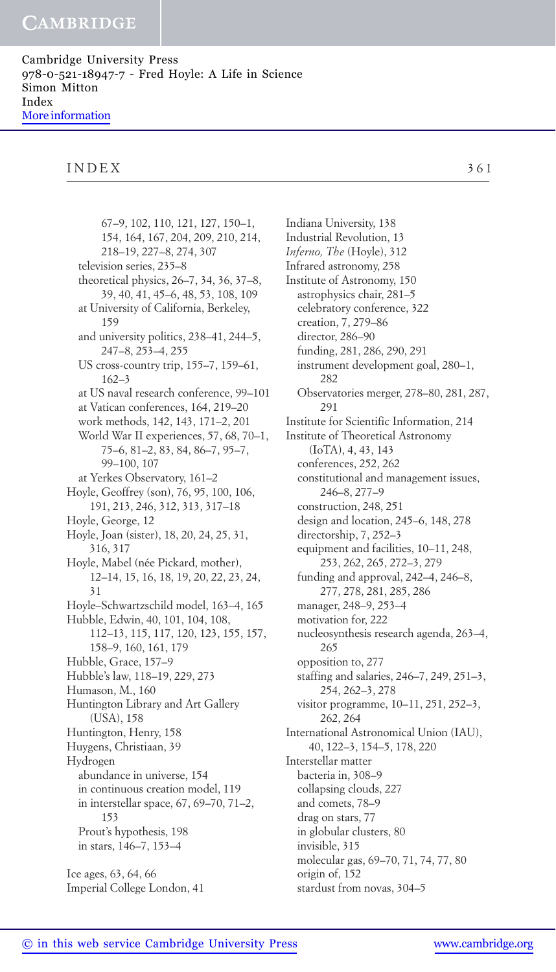## INDEX 361

67–9, 102, 110, 121, 127, 150–1, 154, 164, 167, 204, 209, 210, 214, 218–19, 227–8, 274, 307 television series, 235–8 theoretical physics, 26–7, 34, 36, 37–8, 39, 40, 41, 45–6, 48, 53, 108, 109 at University of California, Berkeley, 159 and university politics, 238–41, 244–5, 247–8, 253–4, 255 US cross-country trip, 155–7, 159–61, 162–3 at US naval research conference, 99–101 at Vatican conferences, 164, 219–20 work methods, 142, 143, 171–2, 201 World War II experiences, 57, 68, 70–1, 75–6, 81–2, 83, 84, 86–7, 95–7, 99–100, 107 at Yerkes Observatory, 161–2 Hoyle, Geoffrey (son), 76, 95, 100, 106, 191, 213, 246, 312, 313, 317–18 Hoyle, George, 12 Hoyle, Joan (sister), 18, 20, 24, 25, 31, 316, 317 Hoyle, Mabel (née Pickard, mother), 12–14, 15, 16, 18, 19, 20, 22, 23, 24, 31 Hoyle–Schwartzschild model, 163–4, 165 Hubble, Edwin, 40, 101, 104, 108, 112–13, 115, 117, 120, 123, 155, 157, 158–9, 160, 161, 179 Hubble, Grace, 157–9 Hubble's law, 118–19, 229, 273 Humason, M., 160 Huntington Library and Art Gallery (USA), 158 Huntington, Henry, 158 Huygens, Christiaan, 39 Hydrogen abundance in universe, 154 in continuous creation model, 119 in interstellar space, 67, 69–70, 71–2, 153 Prout's hypothesis, 198 in stars, 146–7, 153–4 Ice ages, 63, 64, 66 Imperial College London, 41

Indiana University, 138 Industrial Revolution, 13 *Inferno, The* (Hoyle), 312 Infrared astronomy, 258 Institute of Astronomy, 150 astrophysics chair, 281–5 celebratory conference, 322 creation, 7, 279–86 director, 286–90 funding, 281, 286, 290, 291 instrument development goal, 280–1, 282 Observatories merger, 278–80, 281, 287, 291 Institute for Scientific Information, 214 Institute of Theoretical Astronomy (IoTA), 4, 43, 143 conferences, 252, 262 constitutional and management issues, 246–8, 277–9 construction, 248, 251 design and location, 245–6, 148, 278 directorship, 7, 252–3 equipment and facilities, 10–11, 248, 253, 262, 265, 272–3, 279 funding and approval, 242–4, 246–8, 277, 278, 281, 285, 286 manager, 248–9, 253–4 motivation for, 222 nucleosynthesis research agenda, 263–4, 265 opposition to, 277 staffing and salaries, 246–7, 249, 251–3, 254, 262–3, 278 visitor programme, 10–11, 251, 252–3, 262, 264 International Astronomical Union (IAU), 40, 122–3, 154–5, 178, 220 Interstellar matter bacteria in, 308–9 collapsing clouds, 227 and comets, 78–9 drag on stars, 77 in globular clusters, 80 invisible, 315 molecular gas, 69–70, 71, 74, 77, 80 origin of, 152 stardust from novas, 304–5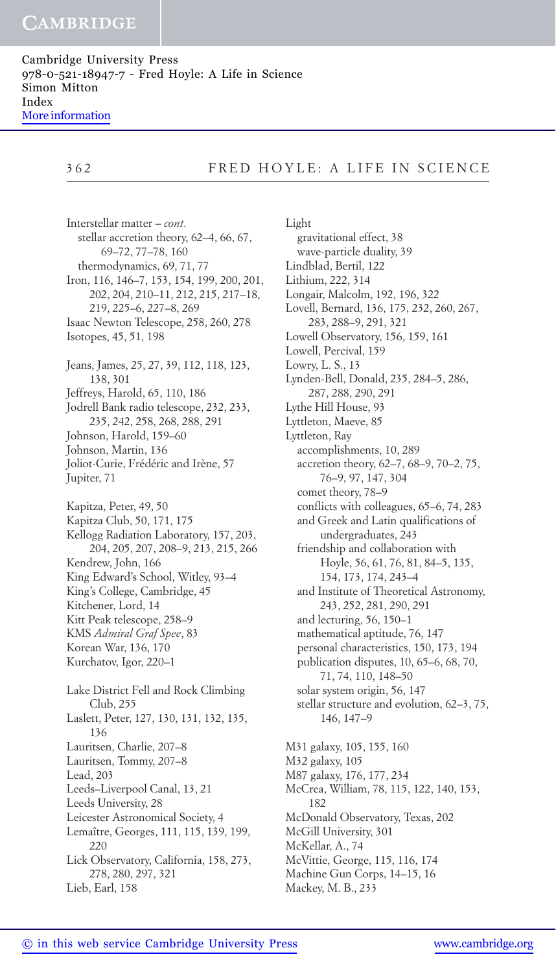Cambridge University Press 978-0-521-18947-7 - Fred Hoyle: A Life in Science Simon Mitton Index [More information](http://www.cambridge.org/9780521189477)

# 362 FRED HOYLE: A LIFE IN SCIENCE

Interstellar matter – *cont.* stellar accretion theory, 62–4, 66, 67, 69–72, 77–78, 160 thermodynamics, 69, 71, 77 Iron, 116, 146–7, 153, 154, 199, 200, 201, 202, 204, 210–11, 212, 215, 217–18, 219, 225–6, 227–8, 269 Isaac Newton Telescope, 258, 260, 278 Isotopes, 45, 51, 198 Jeans, James, 25, 27, 39, 112, 118, 123, 138, 301 Jeffreys, Harold, 65, 110, 186 Jodrell Bank radio telescope, 232, 233, 235, 242, 258, 268, 288, 291 Johnson, Harold, 159–60 Johnson, Martin, 136 Joliot-Curie, Frédéric and Irène, 57 Jupiter, 71 Kapitza, Peter, 49, 50 Kapitza Club, 50, 171, 175 Kellogg Radiation Laboratory, 157, 203, 204, 205, 207, 208–9, 213, 215, 266 Kendrew, John, 166 King Edward's School, Witley, 93–4 King's College, Cambridge, 45 Kitchener, Lord, 14 Kitt Peak telescope, 258–9 KMS *Admiral Graf Spee*, 83 Korean War, 136, 170 Kurchatov, Igor, 220–1 Lake District Fell and Rock Climbing Club, 255 Laslett, Peter, 127, 130, 131, 132, 135, 136 Lauritsen, Charlie, 207–8 Lauritsen, Tommy, 207–8 Lead, 203 Leeds–Liverpool Canal, 13, 21 Leeds University, 28 Leicester Astronomical Society, 4 Lemaître, Georges, 111, 115, 139, 199, 220 Lick Observatory, California, 158, 273, 278, 280, 297, 321 Lieb, Earl, 158

Light gravitational effect, 38 wave-particle duality, 39 Lindblad, Bertil, 122 Lithium, 222, 314 Longair, Malcolm, 192, 196, 322 Lovell, Bernard, 136, 175, 232, 260, 267, 283, 288–9, 291, 321 Lowell Observatory, 156, 159, 161 Lowell, Percival, 159 Lowry, L. S., 13 Lynden-Bell, Donald, 235, 284–5, 286, 287, 288, 290, 291 Lythe Hill House, 93 Lyttleton, Maeve, 85 Lyttleton, Ray accomplishments, 10, 289 accretion theory, 62–7, 68–9, 70–2, 75, 76–9, 97, 147, 304 comet theory, 78–9 conflicts with colleagues, 65–6, 74, 283 and Greek and Latin qualifications of undergraduates, 243 friendship and collaboration with Hoyle, 56, 61, 76, 81, 84–5, 135, 154, 173, 174, 243–4 and Institute of Theoretical Astronomy, 243, 252, 281, 290, 291 and lecturing, 56, 150–1 mathematical aptitude, 76, 147 personal characteristics, 150, 173, 194 publication disputes, 10, 65–6, 68, 70, 71, 74, 110, 148–50 solar system origin, 56, 147 stellar structure and evolution, 62–3, 75, 146, 147–9 M31 galaxy, 105, 155, 160 M32 galaxy, 105 M87 galaxy, 176, 177, 234 McCrea, William, 78, 115, 122, 140, 153, 182 McDonald Observatory, Texas, 202 McGill University, 301 McKellar, A., 74 McVittie, George, 115, 116, 174 Machine Gun Corps, 14–15, 16 Mackey, M. B., 233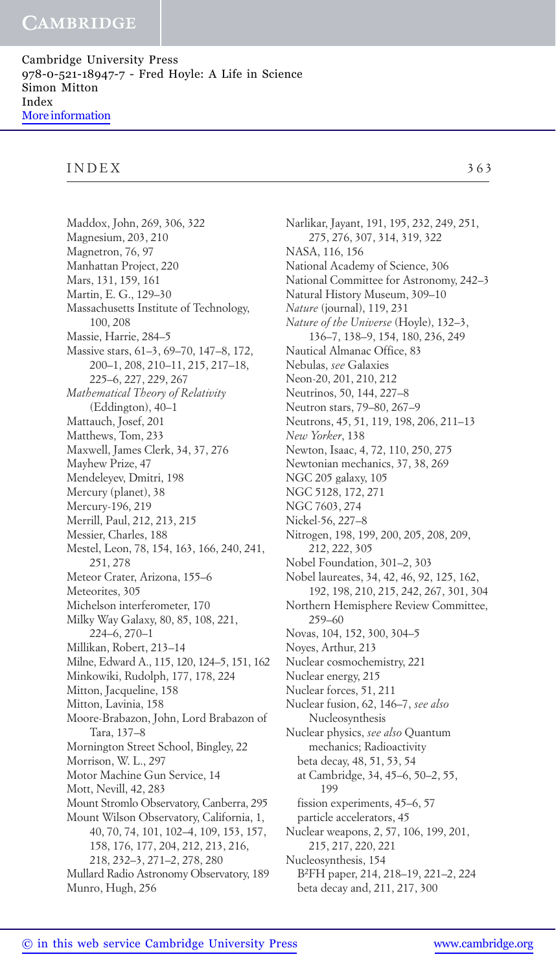#### INDEX 363

Maddox, John, 269, 306, 322 Magnesium, 203, 210 Magnetron, 76, 97 Manhattan Project, 220 Mars, 131, 159, 161 Martin, E. G., 129–30 Massachusetts Institute of Technology, 100, 208 Massie, Harrie, 284–5 Massive stars, 61–3, 69–70, 147–8, 172, 200–1, 208, 210–11, 215, 217–18, 225–6, 227, 229, 267 *Mathematical Theory of Relativity* (Eddington), 40–1 Mattauch, Josef, 201 Matthews, Tom, 233 Maxwell, James Clerk, 34, 37, 276 Mayhew Prize, 47 Mendeleyev, Dmitri, 198 Mercury (planet), 38 Mercury-196, 219 Merrill, Paul, 212, 213, 215 Messier, Charles, 188 Mestel, Leon, 78, 154, 163, 166, 240, 241, 251, 278 Meteor Crater, Arizona, 155–6 Meteorites, 305 Michelson interferometer, 170 Milky Way Galaxy, 80, 85, 108, 221, 224–6, 270–1 Millikan, Robert, 213–14 Milne, Edward A., 115, 120, 124–5, 151, 162 Minkowiki, Rudolph, 177, 178, 224 Mitton, Jacqueline, 158 Mitton, Lavinia, 158 Moore-Brabazon, John, Lord Brabazon of Tara, 137–8 Mornington Street School, Bingley, 22 Morrison, W. L., 297 Motor Machine Gun Service, 14 Mott, Nevill, 42, 283 Mount Stromlo Observatory, Canberra, 295 Mount Wilson Observatory, California, 1, 40, 70, 74, 101, 102–4, 109, 153, 157, 158, 176, 177, 204, 212, 213, 216, 218, 232–3, 271–2, 278, 280 Mullard Radio Astronomy Observatory, 189 Munro, Hugh, 256

Narlikar, Jayant, 191, 195, 232, 249, 251, 275, 276, 307, 314, 319, 322 NASA, 116, 156 National Academy of Science, 306 National Committee for Astronomy, 242–3 Natural History Museum, 309–10 *Nature* (journal), 119, 231 *Nature of the Universe* (Hoyle), 132–3, 136–7, 138–9, 154, 180, 236, 249 Nautical Almanac Office, 83 Nebulas, *see* Galaxies Neon-20, 201, 210, 212 Neutrinos, 50, 144, 227–8 Neutron stars, 79–80, 267–9 Neutrons, 45, 51, 119, 198, 206, 211–13 *New Yorker*, 138 Newton, Isaac, 4, 72, 110, 250, 275 Newtonian mechanics, 37, 38, 269 NGC 205 galaxy, 105 NGC 5128, 172, 271 NGC 7603, 274 Nickel-56, 227–8 Nitrogen, 198, 199, 200, 205, 208, 209, 212, 222, 305 Nobel Foundation, 301–2, 303 Nobel laureates, 34, 42, 46, 92, 125, 162, 192, 198, 210, 215, 242, 267, 301, 304 Northern Hemisphere Review Committee, 259–60 Novas, 104, 152, 300, 304–5 Noyes, Arthur, 213 Nuclear cosmochemistry, 221 Nuclear energy, 215 Nuclear forces, 51, 211 Nuclear fusion, 62, 146–7, *see also* Nucleosynthesis Nuclear physics, *see also* Quantum mechanics; Radioactivity beta decay, 48, 51, 53, 54 at Cambridge, 34, 45–6, 50–2, 55, 199 fission experiments, 45–6, 57 particle accelerators, 45 Nuclear weapons, 2, 57, 106, 199, 201, 215, 217, 220, 221 Nucleosynthesis, 154 B2FH paper, 214, 218–19, 221–2, 224

beta decay and, 211, 217, 300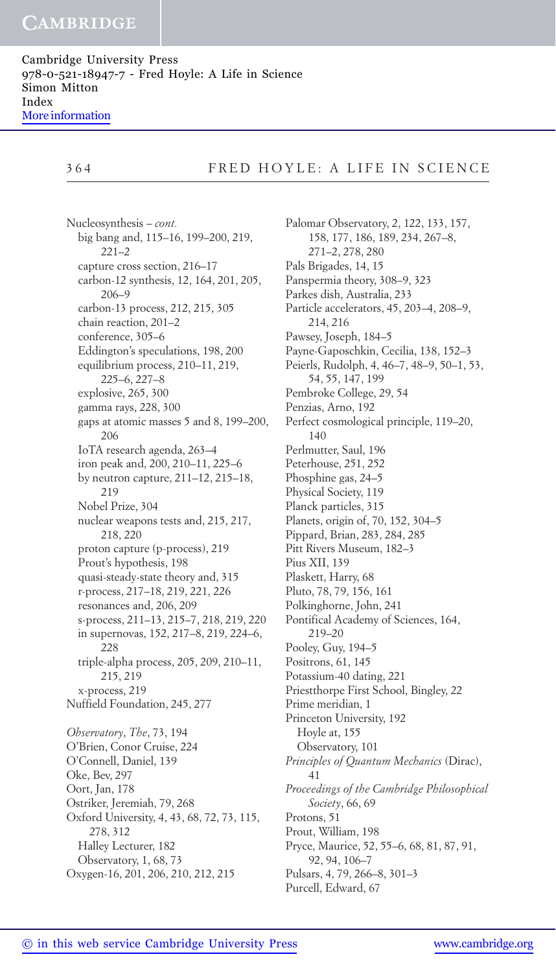Cambridge University Press 978-0-521-18947-7 - Fred Hoyle: A Life in Science Simon Mitton Index [More information](http://www.cambridge.org/9780521189477)

## 364 FRED HOYLE: A LIFE IN SCIENCE

Nucleosynthesis – *cont.* big bang and, 115–16, 199–200, 219, 221–2 capture cross section, 216–17 carbon-12 synthesis, 12, 164, 201, 205, 206–9 carbon-13 process, 212, 215, 305 chain reaction, 201–2 conference, 305–6 Eddington's speculations, 198, 200 equilibrium process, 210–11, 219, 225–6, 227–8 explosive, 265, 300 gamma rays, 228, 300 gaps at atomic masses 5 and 8, 199–200, 206 IoTA research agenda, 263–4 iron peak and, 200, 210–11, 225–6 by neutron capture, 211–12, 215–18, 219 Nobel Prize, 304 nuclear weapons tests and, 215, 217, 218, 220 proton capture (p-process), 219 Prout's hypothesis, 198 quasi-steady-state theory and, 315 r-process, 217–18, 219, 221, 226 resonances and, 206, 209 s-process, 211–13, 215–7, 218, 219, 220 in supernovas, 152, 217–8, 219, 224–6, 228 triple-alpha process, 205, 209, 210–11, 215, 219 x-process, 219 Nuffield Foundation, 245, 277 *Observatory*, *The*, 73, 194 O'Brien, Conor Cruise, 224 O'Connell, Daniel, 139 Oke, Bev, 297 Oort, Jan, 178 Ostriker, Jeremiah, 79, 268 Oxford University, 4, 43, 68, 72, 73, 115, 278, 312 Halley Lecturer, 182 Observatory, 1, 68, 73 Oxygen-16, 201, 206, 210, 212, 215

Palomar Observatory, 2, 122, 133, 157, 158, 177, 186, 189, 234, 267–8, 271–2, 278, 280 Pals Brigades, 14, 15 Panspermia theory, 308–9, 323 Parkes dish, Australia, 233 Particle accelerators, 45, 203–4, 208–9, 214, 216 Pawsey, Joseph, 184–5 Payne-Gaposchkin, Cecilia, 138, 152–3 Peierls, Rudolph, 4, 46–7, 48–9, 50–1, 53, 54, 55, 147, 199 Pembroke College, 29, 54 Penzias, Arno, 192 Perfect cosmological principle, 119–20, 140 Perlmutter, Saul, 196 Peterhouse, 251, 252 Phosphine gas, 24–5 Physical Society, 119 Planck particles, 315 Planets, origin of, 70, 152, 304–5 Pippard, Brian, 283, 284, 285 Pitt Rivers Museum, 182–3 Pius XII, 139 Plaskett, Harry, 68 Pluto, 78, 79, 156, 161 Polkinghorne, John, 241 Pontifical Academy of Sciences, 164, 219–20 Pooley, Guy, 194–5 Positrons, 61, 145 Potassium-40 dating, 221 Priestthorpe First School, Bingley, 22 Prime meridian, 1 Princeton University, 192 Hoyle at, 155 Observatory, 101 *Principles of Quantum Mechanics* (Dirac), 41 *Proceedings of the Cambridge Philosophical Society*, 66, 69 Protons, 51 Prout, William, 198 Pryce, Maurice, 52, 55–6, 68, 81, 87, 91, 92, 94, 106–7 Pulsars, 4, 79, 266–8, 301–3

Purcell, Edward, 67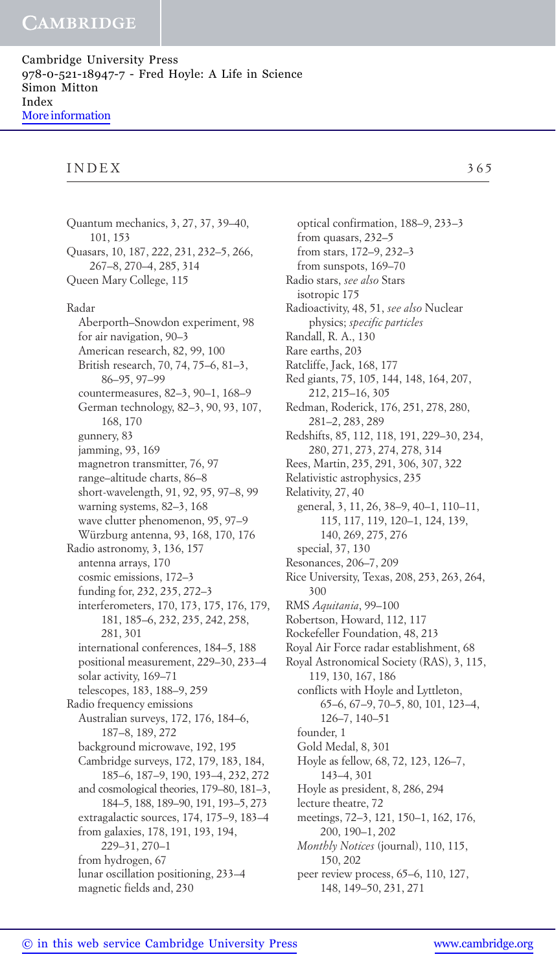## INDEX 365

Quantum mechanics, 3, 27, 37, 39–40, 101, 153 Quasars, 10, 187, 222, 231, 232–5, 266, 267–8, 270–4, 285, 314 Queen Mary College, 115 Radar Aberporth–Snowdon experiment, 98 for air navigation, 90–3 American research, 82, 99, 100 British research, 70, 74, 75–6, 81–3, 86–95, 97–99 countermeasures, 82–3, 90–1, 168–9 German technology, 82–3, 90, 93, 107, 168, 170 gunnery, 83 jamming, 93, 169 magnetron transmitter, 76, 97 range–altitude charts, 86–8 short-wavelength, 91, 92, 95, 97–8, 99 warning systems, 82–3, 168 wave clutter phenomenon, 95, 97–9 Würzburg antenna, 93, 168, 170, 176 Radio astronomy, 3, 136, 157 antenna arrays, 170 cosmic emissions, 172–3 funding for, 232, 235, 272–3 interferometers, 170, 173, 175, 176, 179, 181, 185–6, 232, 235, 242, 258, 281, 301 international conferences, 184–5, 188 positional measurement, 229–30, 233–4 solar activity, 169–71 telescopes, 183, 188–9, 259 Radio frequency emissions Australian surveys, 172, 176, 184–6, 187–8, 189, 272 background microwave, 192, 195 Cambridge surveys, 172, 179, 183, 184, 185–6, 187–9, 190, 193–4, 232, 272 and cosmological theories, 179–80, 181–3, 184–5, 188, 189–90, 191, 193–5, 273 extragalactic sources, 174, 175–9, 183–4 from galaxies, 178, 191, 193, 194, 229–31, 270–1 from hydrogen, 67 lunar oscillation positioning, 233–4 magnetic fields and, 230

optical confirmation, 188–9, 233–3 from quasars, 232–5 from stars, 172–9, 232–3 from sunspots, 169–70 Radio stars, *see also* Stars isotropic 175 Radioactivity, 48, 51, *see also* Nuclear physics; *specific particles* Randall, R. A., 130 Rare earths, 203 Ratcliffe, Jack, 168, 177 Red giants, 75, 105, 144, 148, 164, 207, 212, 215–16, 305 Redman, Roderick, 176, 251, 278, 280, 281–2, 283, 289 Redshifts, 85, 112, 118, 191, 229–30, 234, 280, 271, 273, 274, 278, 314 Rees, Martin, 235, 291, 306, 307, 322 Relativistic astrophysics, 235 Relativity, 27, 40 general, 3, 11, 26, 38–9, 40–1, 110–11, 115, 117, 119, 120–1, 124, 139, 140, 269, 275, 276 special, 37, 130 Resonances, 206–7, 209 Rice University, Texas, 208, 253, 263, 264, 300 RMS *Aquitania*, 99–100 Robertson, Howard, 112, 117 Rockefeller Foundation, 48, 213 Royal Air Force radar establishment, 68 Royal Astronomical Society (RAS), 3, 115, 119, 130, 167, 186 conflicts with Hoyle and Lyttleton, 65–6, 67–9, 70–5, 80, 101, 123–4, 126–7, 140–51 founder, 1 Gold Medal, 8, 301 Hoyle as fellow, 68, 72, 123, 126–7, 143–4, 301 Hoyle as president, 8, 286, 294 lecture theatre, 72 meetings, 72–3, 121, 150–1, 162, 176, 200, 190–1, 202 *Monthly Notices* (journal), 110, 115, 150, 202

peer review process, 65–6, 110, 127, 148, 149–50, 231, 271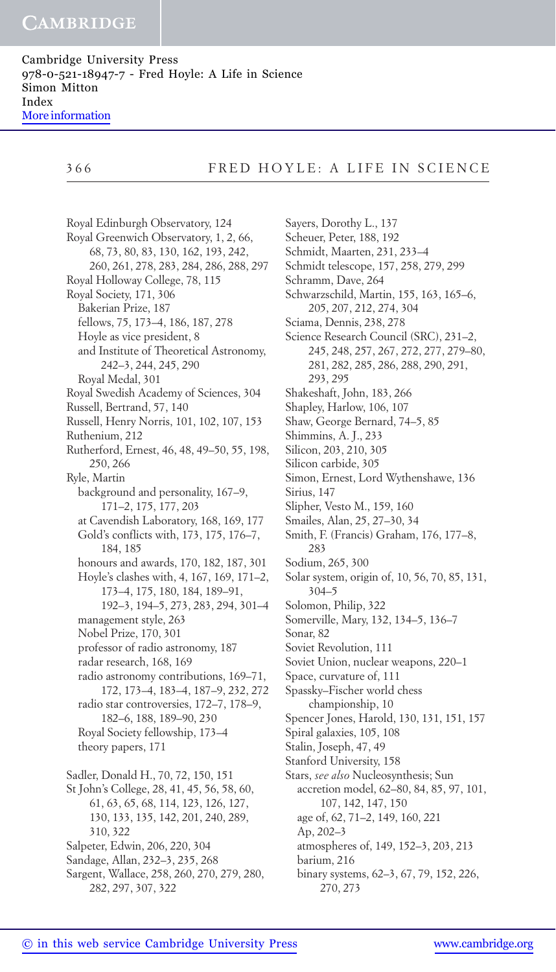Cambridge University Press 978-0-521-18947-7 - Fred Hoyle: A Life in Science Simon Mitton Index [More information](http://www.cambridge.org/9780521189477)

## 366 FRED HOYLE: A LIFE IN SCIENCE

Royal Edinburgh Observatory, 124 Royal Greenwich Observatory, 1, 2, 66, 68, 73, 80, 83, 130, 162, 193, 242, 260, 261, 278, 283, 284, 286, 288, 297 Royal Holloway College, 78, 115 Royal Society, 171, 306 Bakerian Prize, 187 fellows, 75, 173–4, 186, 187, 278 Hoyle as vice president, 8 and Institute of Theoretical Astronomy, 242–3, 244, 245, 290 Royal Medal, 301 Royal Swedish Academy of Sciences, 304 Russell, Bertrand, 57, 140 Russell, Henry Norris, 101, 102, 107, 153 Ruthenium, 212 Rutherford, Ernest, 46, 48, 49–50, 55, 198, 250, 266 Ryle, Martin background and personality, 167–9, 171–2, 175, 177, 203 at Cavendish Laboratory, 168, 169, 177 Gold's conflicts with, 173, 175, 176–7, 184, 185 honours and awards, 170, 182, 187, 301 Hoyle's clashes with, 4, 167, 169, 171–2, 173–4, 175, 180, 184, 189–91, 192–3, 194–5, 273, 283, 294, 301–4 management style, 263 Nobel Prize, 170, 301 professor of radio astronomy, 187 radar research, 168, 169 radio astronomy contributions, 169–71, 172, 173–4, 183–4, 187–9, 232, 272 radio star controversies, 172–7, 178–9, 182–6, 188, 189–90, 230 Royal Society fellowship, 173–4 theory papers, 171 Sadler, Donald H., 70, 72, 150, 151 St John's College, 28, 41, 45, 56, 58, 60, 61, 63, 65, 68, 114, 123, 126, 127, 130, 133, 135, 142, 201, 240, 289, 310, 322 Salpeter, Edwin, 206, 220, 304 Sandage, Allan, 232–3, 235, 268 Sargent, Wallace, 258, 260, 270, 279, 280,

Sayers, Dorothy L., 137 Scheuer, Peter, 188, 192 Schmidt, Maarten, 231, 233–4 Schmidt telescope, 157, 258, 279, 299 Schramm, Dave, 264 Schwarzschild, Martin, 155, 163, 165–6, 205, 207, 212, 274, 304 Sciama, Dennis, 238, 278 Science Research Council (SRC), 231–2, 245, 248, 257, 267, 272, 277, 279–80, 281, 282, 285, 286, 288, 290, 291, 293, 295 Shakeshaft, John, 183, 266 Shapley, Harlow, 106, 107 Shaw, George Bernard, 74–5, 85 Shimmins, A. J., 233 Silicon, 203, 210, 305 Silicon carbide, 305 Simon, Ernest, Lord Wythenshawe, 136 Sirius, 147 Slipher, Vesto M., 159, 160 Smailes, Alan, 25, 27–30, 34 Smith, F. (Francis) Graham, 176, 177–8, 283 Sodium, 265, 300 Solar system, origin of, 10, 56, 70, 85, 131, 304–5 Solomon, Philip, 322 Somerville, Mary, 132, 134–5, 136–7 Sonar, 82 Soviet Revolution, 111 Soviet Union, nuclear weapons, 220–1 Space, curvature of, 111 Spassky–Fischer world chess championship, 10 Spencer Jones, Harold, 130, 131, 151, 157 Spiral galaxies, 105, 108 Stalin, Joseph, 47, 49 Stanford University, 158 Stars, *see also* Nucleosynthesis; Sun accretion model, 62–80, 84, 85, 97, 101, 107, 142, 147, 150 age of, 62, 71–2, 149, 160, 221 Ap, 202–3 atmospheres of, 149, 152–3, 203, 213 barium, 216 binary systems, 62–3, 67, 79, 152, 226, 270, 273

<sup>282, 297, 307, 322</sup>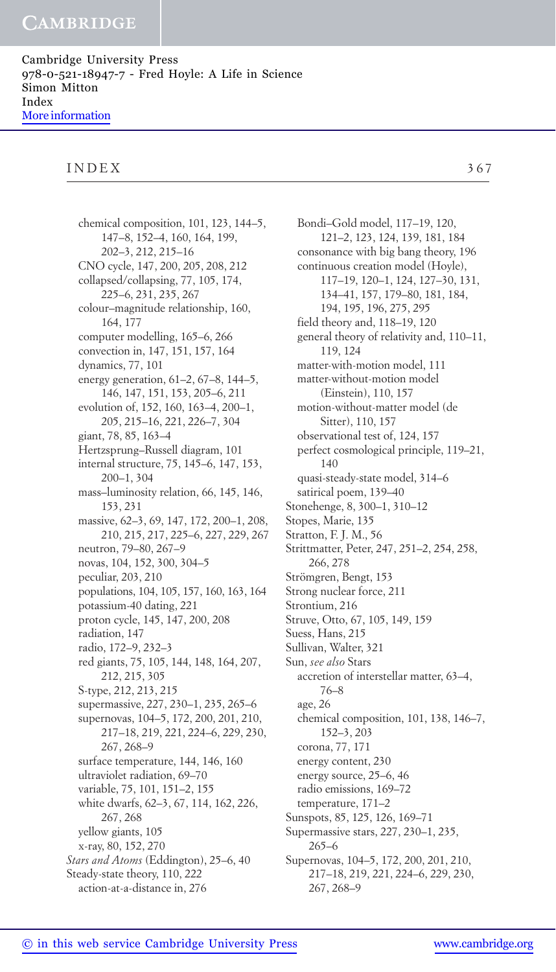# INDEX 367

chemical composition, 101, 123, 144–5, 147–8, 152–4, 160, 164, 199, 202–3, 212, 215–16 CNO cycle, 147, 200, 205, 208, 212 collapsed/collapsing, 77, 105, 174, 225–6, 231, 235, 267 colour–magnitude relationship, 160, 164, 177 computer modelling, 165–6, 266 convection in, 147, 151, 157, 164 dynamics, 77, 101 energy generation, 61–2, 67–8, 144–5, 146, 147, 151, 153, 205–6, 211 evolution of, 152, 160, 163–4, 200–1, 205, 215–16, 221, 226–7, 304 giant, 78, 85, 163–4 Hertzsprung–Russell diagram, 101 internal structure, 75, 145–6, 147, 153, 200–1, 304 mass–luminosity relation, 66, 145, 146, 153, 231 massive, 62–3, 69, 147, 172, 200–1, 208, 210, 215, 217, 225–6, 227, 229, 267 neutron, 79–80, 267–9 novas, 104, 152, 300, 304–5 peculiar, 203, 210 populations, 104, 105, 157, 160, 163, 164 potassium-40 dating, 221 proton cycle, 145, 147, 200, 208 radiation, 147 radio, 172–9, 232–3 red giants, 75, 105, 144, 148, 164, 207, 212, 215, 305 S-type, 212, 213, 215 supermassive, 227, 230–1, 235, 265–6 supernovas, 104–5, 172, 200, 201, 210, 217–18, 219, 221, 224–6, 229, 230, 267, 268–9 surface temperature, 144, 146, 160 ultraviolet radiation, 69–70 variable, 75, 101, 151–2, 155 white dwarfs, 62–3, 67, 114, 162, 226, 267, 268 yellow giants, 105 x-ray, 80, 152, 270 *Stars and Atoms* (Eddington), 25–6, 40 Steady-state theory, 110, 222 action-at-a-distance in, 276

Bondi–Gold model, 117–19, 120, 121–2, 123, 124, 139, 181, 184 consonance with big bang theory, 196 continuous creation model (Hoyle), 117–19, 120–1, 124, 127–30, 131, 134–41, 157, 179–80, 181, 184, 194, 195, 196, 275, 295 field theory and, 118–19, 120 general theory of relativity and, 110–11, 119, 124 matter-with-motion model, 111 matter-without-motion model (Einstein), 110, 157 motion-without-matter model (de Sitter), 110, 157 observational test of, 124, 157 perfect cosmological principle, 119–21, 140 quasi-steady-state model, 314–6 satirical poem, 139–40 Stonehenge, 8, 300–1, 310–12 Stopes, Marie, 135 Stratton, F. J. M., 56 Strittmatter, Peter, 247, 251–2, 254, 258, 266, 278 Strömgren, Bengt, 153 Strong nuclear force, 211 Strontium, 216 Struve, Otto, 67, 105, 149, 159 Suess, Hans, 215 Sullivan, Walter, 321 Sun, *see also* Stars accretion of interstellar matter, 63–4, 76–8 age, 26 chemical composition, 101, 138, 146–7, 152–3, 203 corona, 77, 171 energy content, 230 energy source, 25–6, 46 radio emissions, 169–72 temperature, 171–2 Sunspots, 85, 125, 126, 169–71 Supermassive stars, 227, 230–1, 235, 265–6 Supernovas, 104–5, 172, 200, 201, 210, 217–18, 219, 221, 224–6, 229, 230, 267, 268–9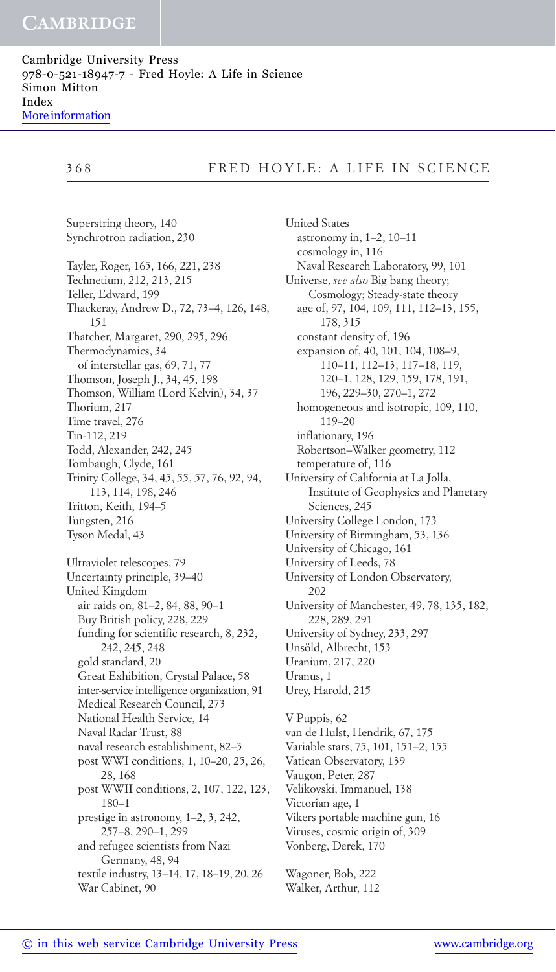# 368 FRED HOYLE: A LIFE IN SCIENCE

Superstring theory, 140 Synchrotron radiation, 230 Tayler, Roger, 165, 166, 221, 238 Technetium, 212, 213, 215 Teller, Edward, 199 Thackeray, Andrew D., 72, 73–4, 126, 148, 151 Thatcher, Margaret, 290, 295, 296 Thermodynamics, 34 of interstellar gas, 69, 71, 77 Thomson, Joseph J., 34, 45, 198 Thomson, William (Lord Kelvin), 34, 37 Thorium, 217 Time travel, 276 Tin-112, 219 Todd, Alexander, 242, 245 Tombaugh, Clyde, 161 Trinity College, 34, 45, 55, 57, 76, 92, 94, 113, 114, 198, 246 Tritton, Keith, 194–5 Tungsten, 216 Tyson Medal, 43 Ultraviolet telescopes, 79 Uncertainty principle, 39–40 United Kingdom air raids on, 81–2, 84, 88, 90–1 Buy British policy, 228, 229 funding for scientific research, 8, 232, 242, 245, 248 gold standard, 20 Great Exhibition, Crystal Palace, 58 inter-service intelligence organization, 91 Medical Research Council, 273 National Health Service, 14 Naval Radar Trust, 88 naval research establishment, 82–3 post WWI conditions, 1, 10–20, 25, 26, 28, 168 post WWII conditions, 2, 107, 122, 123, 180–1 prestige in astronomy, 1–2, 3, 242, 257–8, 290–1, 299 and refugee scientists from Nazi Germany, 48, 94 textile industry, 13–14, 17, 18–19, 20, 26 War Cabinet, 90

United States astronomy in, 1–2, 10–11 cosmology in, 116 Naval Research Laboratory, 99, 101 Universe, *see also* Big bang theory; Cosmology; Steady-state theory age of, 97, 104, 109, 111, 112–13, 155, 178, 315 constant density of, 196 expansion of, 40, 101, 104, 108–9, 110–11, 112–13, 117–18, 119, 120–1, 128, 129, 159, 178, 191, 196, 229–30, 270–1, 272 homogeneous and isotropic, 109, 110, 119–20 inflationary, 196 Robertson–Walker geometry, 112 temperature of, 116 University of California at La Jolla, Institute of Geophysics and Planetary Sciences, 245 University College London, 173 University of Birmingham, 53, 136 University of Chicago, 161 University of Leeds, 78 University of London Observatory, 202 University of Manchester, 49, 78, 135, 182, 228, 289, 291 University of Sydney, 233, 297 Unsöld, Albrecht, 153 Uranium, 217, 220 Uranus, 1 Urey, Harold, 215 V Puppis, 62 van de Hulst, Hendrik, 67, 175 Variable stars, 75, 101, 151–2, 155 Vatican Observatory, 139 Vaugon, Peter, 287 Velikovski, Immanuel, 138 Victorian age, 1 Vikers portable machine gun, 16 Viruses, cosmic origin of, 309 Vonberg, Derek, 170

Wagoner, Bob, 222 Walker, Arthur, 112